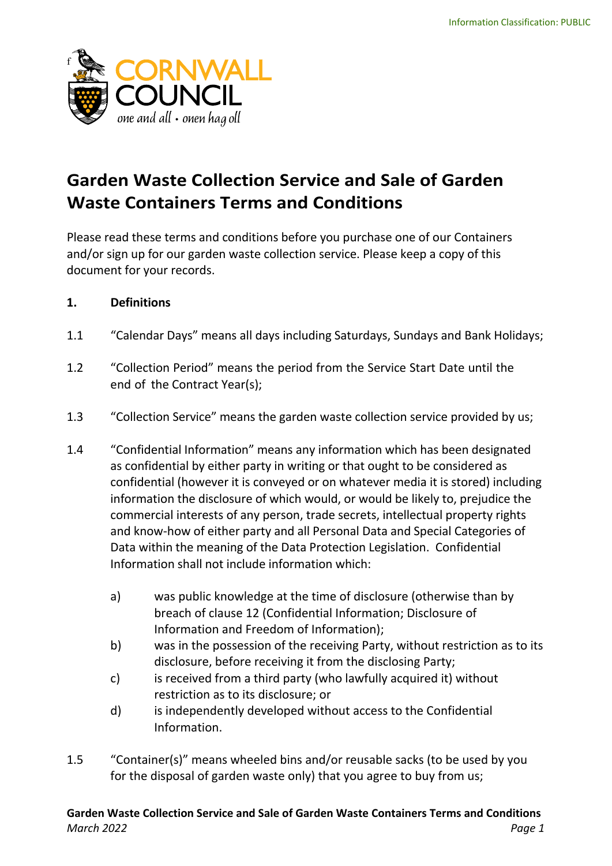

# **Garden Waste Collection Service and Sale of Garden Waste Containers Terms and Conditions**

Please read these terms and conditions before you purchase one of our Containers and/or sign up for our garden waste collection service. Please keep a copy of this document for your records.

# **1. Definitions**

- 1.1 "Calendar Days" means all days including Saturdays, Sundays and Bank Holidays;
- 1.2 "Collection Period" means the period from the Service Start Date until the end of the Contract Year(s);
- 1.3 "Collection Service" means the garden waste collection service provided by us;
- 1.4 "Confidential Information" means any information which has been designated as confidential by either party in writing or that ought to be considered as confidential (however it is conveyed or on whatever media it is stored) including information the disclosure of which would, or would be likely to, prejudice the commercial interests of any person, trade secrets, intellectual property rights and know-how of either party and all Personal Data and Special Categories of Data within the meaning of the Data Protection Legislation. Confidential Information shall not include information which:
	- a) was public knowledge at the time of disclosure (otherwise than by breach of clause 12 (Confidential Information; Disclosure of Information and Freedom of Information);
	- b) was in the possession of the receiving Party, without restriction as to its disclosure, before receiving it from the disclosing Party;
	- c) is received from a third party (who lawfully acquired it) without restriction as to its disclosure; or
	- d) is independently developed without access to the Confidential Information.
- 1.5 "Container(s)" means wheeled bins and/or reusable sacks (to be used by you for the disposal of garden waste only) that you agree to buy from us;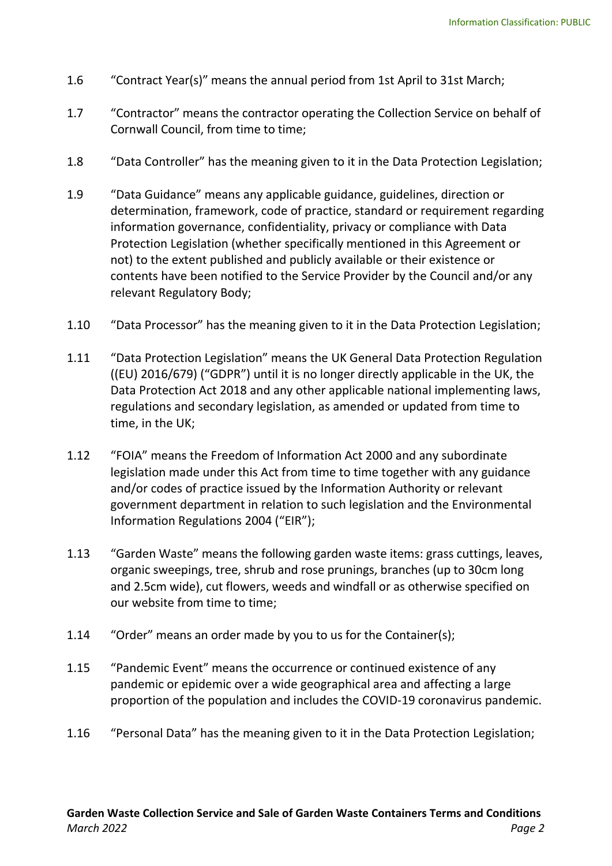- 1.6 "Contract Year(s)" means the annual period from 1st April to 31st March;
- 1.7 "Contractor" means the contractor operating the Collection Service on behalf of Cornwall Council, from time to time;
- 1.8 "Data Controller" has the meaning given to it in the Data Protection Legislation;
- 1.9 "Data Guidance" means any applicable guidance, guidelines, direction or determination, framework, code of practice, standard or requirement regarding information governance, confidentiality, privacy or compliance with Data Protection Legislation (whether specifically mentioned in this Agreement or not) to the extent published and publicly available or their existence or contents have been notified to the Service Provider by the Council and/or any relevant Regulatory Body;
- 1.10 "Data Processor" has the meaning given to it in the Data Protection Legislation;
- 1.11 "Data Protection Legislation" means the UK General Data Protection Regulation ((EU) 2016/679) ("GDPR") until it is no longer directly applicable in the UK, the Data Protection Act 2018 and any other applicable national implementing laws, regulations and secondary legislation, as amended or updated from time to time, in the UK;
- 1.12 "FOIA" means the Freedom of Information Act 2000 and any subordinate legislation made under this Act from time to time together with any guidance and/or codes of practice issued by the Information Authority or relevant government department in relation to such legislation and the Environmental Information Regulations 2004 ("EIR");
- 1.13 "Garden Waste" means the following garden waste items: grass cuttings, leaves, organic sweepings, tree, shrub and rose prunings, branches (up to 30cm long and 2.5cm wide), cut flowers, weeds and windfall or as otherwise specified on our website from time to time;
- 1.14 "Order" means an order made by you to us for the Container(s);
- 1.15 "Pandemic Event" means the occurrence or continued existence of any pandemic or epidemic over a wide geographical area and affecting a large proportion of the population and includes the COVID-19 coronavirus pandemic.
- 1.16 "Personal Data" has the meaning given to it in the Data Protection Legislation;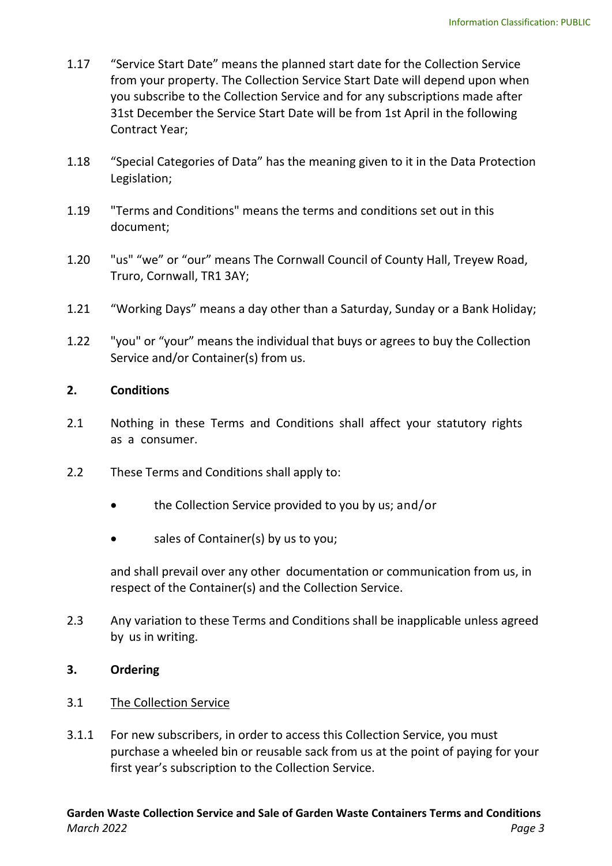- 1.17 "Service Start Date" means the planned start date for the Collection Service from your property. The Collection Service Start Date will depend upon when you subscribe to the Collection Service and for any subscriptions made after 31st December the Service Start Date will be from 1st April in the following Contract Year;
- 1.18 "Special Categories of Data" has the meaning given to it in the Data Protection Legislation;
- 1.19 "Terms and Conditions" means the terms and conditions set out in this document;
- 1.20 "us" "we" or "our" means The Cornwall Council of County Hall, Treyew Road, Truro, Cornwall, TR1 3AY;
- 1.21 "Working Days" means a day other than a Saturday, Sunday or a Bank Holiday;
- 1.22 "you" or "your" means the individual that buys or agrees to buy the Collection Service and/or Container(s) from us.

# **2. Conditions**

- 2.1 Nothing in these Terms and Conditions shall affect your statutory rights as a consumer.
- 2.2 These Terms and Conditions shall apply to:
	- the Collection Service provided to you by us; and/or
	- sales of Container(s) by us to you;

and shall prevail over any other documentation or communication from us, in respect of the Container(s) and the Collection Service.

2.3 Any variation to these Terms and Conditions shall be inapplicable unless agreed by us in writing.

# **3. Ordering**

# 3.1 The Collection Service

3.1.1 For new subscribers, in order to access this Collection Service, you must purchase a wheeled bin or reusable sack from us at the point of paying for your first year's subscription to the Collection Service.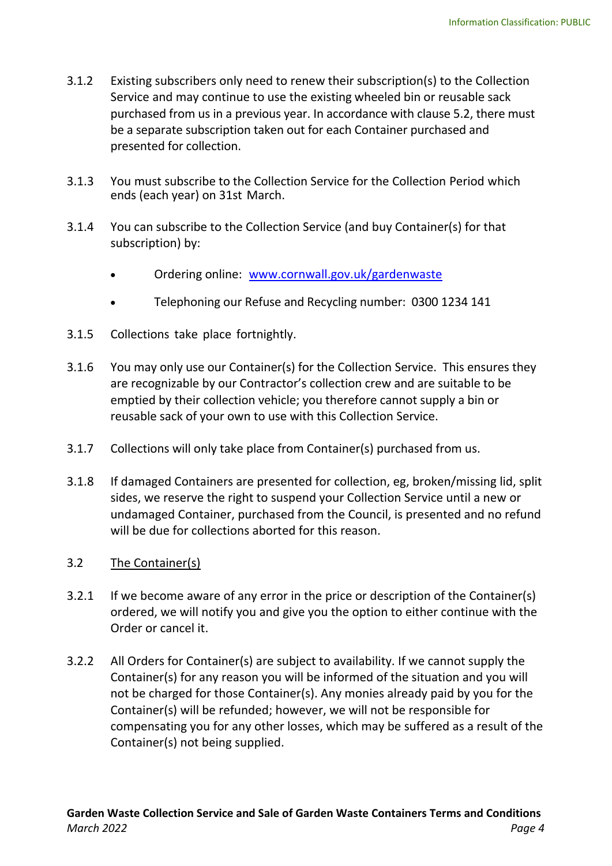- 3.1.2 Existing subscribers only need to renew their subscription(s) to the Collection Service and may continue to use the existing wheeled bin or reusable sack purchased from us in a previous year. In accordance with clause 5.2, there must be a separate subscription taken out for each Container purchased and presented for collection.
- 3.1.3 You must subscribe to the Collection Service for the Collection Period which ends (each year) on 31st March.
- 3.1.4 You can subscribe to the Collection Service (and buy Container(s) for that subscription) by:
	- Ordering online: [www.cornwall.gov.uk/gardenwaste](http://www.cornwall.gov.uk/gardenwaste)
	- Telephoning our Refuse and Recycling number: 0300 1234 141
- 3.1.5 Collections take place fortnightly.
- 3.1.6 You may only use our Container(s) for the Collection Service. This ensures they are recognizable by our Contractor's collection crew and are suitable to be emptied by their collection vehicle; you therefore cannot supply a bin or reusable sack of your own to use with this Collection Service.
- 3.1.7 Collections will only take place from Container(s) purchased from us.
- 3.1.8 If damaged Containers are presented for collection, eg, broken/missing lid, split sides, we reserve the right to suspend your Collection Service until a new or undamaged Container, purchased from the Council, is presented and no refund will be due for collections aborted for this reason.
- 3.2 The Container(s)
- 3.2.1 If we become aware of any error in the price or description of the Container(s) ordered, we will notify you and give you the option to either continue with the Order or cancel it.
- 3.2.2 All Orders for Container(s) are subject to availability. If we cannot supply the Container(s) for any reason you will be informed of the situation and you will not be charged for those Container(s). Any monies already paid by you for the Container(s) will be refunded; however, we will not be responsible for compensating you for any other losses, which may be suffered as a result of the Container(s) not being supplied.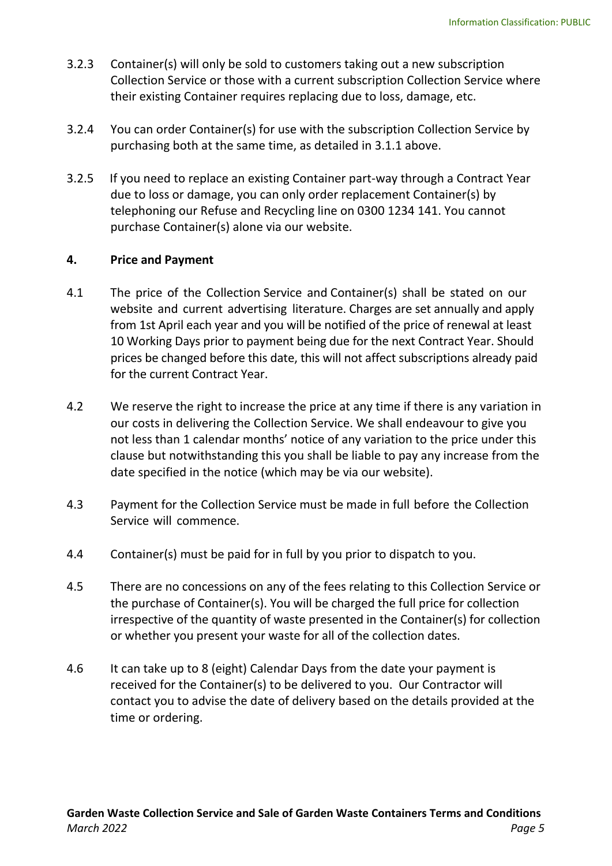- 3.2.3 Container(s) will only be sold to customers taking out a new subscription Collection Service or those with a current subscription Collection Service where their existing Container requires replacing due to loss, damage, etc.
- 3.2.4 You can order Container(s) for use with the subscription Collection Service by purchasing both at the same time, as detailed in 3.1.1 above.
- 3.2.5 If you need to replace an existing Container part-way through a Contract Year due to loss or damage, you can only order replacement Container(s) by telephoning our Refuse and Recycling line on 0300 1234 141. You cannot purchase Container(s) alone via our website.

# **4. Price and Payment**

- 4.1 The price of the Collection Service and Container(s) shall be stated on our website and current advertising literature. Charges are set annually and apply from 1st April each year and you will be notified of the price of renewal at least 10 Working Days prior to payment being due for the next Contract Year. Should prices be changed before this date, this will not affect subscriptions already paid for the current Contract Year.
- 4.2 We reserve the right to increase the price at any time if there is any variation in our costs in delivering the Collection Service. We shall endeavour to give you not less than 1 calendar months' notice of any variation to the price under this clause but notwithstanding this you shall be liable to pay any increase from the date specified in the notice (which may be via our website).
- 4.3 Payment for the Collection Service must be made in full before the Collection Service will commence.
- 4.4 Container(s) must be paid for in full by you prior to dispatch to you.
- 4.5 There are no concessions on any of the fees relating to this Collection Service or the purchase of Container(s). You will be charged the full price for collection irrespective of the quantity of waste presented in the Container(s) for collection or whether you present your waste for all of the collection dates.
- 4.6 It can take up to 8 (eight) Calendar Days from the date your payment is received for the Container(s) to be delivered to you. Our Contractor will contact you to advise the date of delivery based on the details provided at the time or ordering.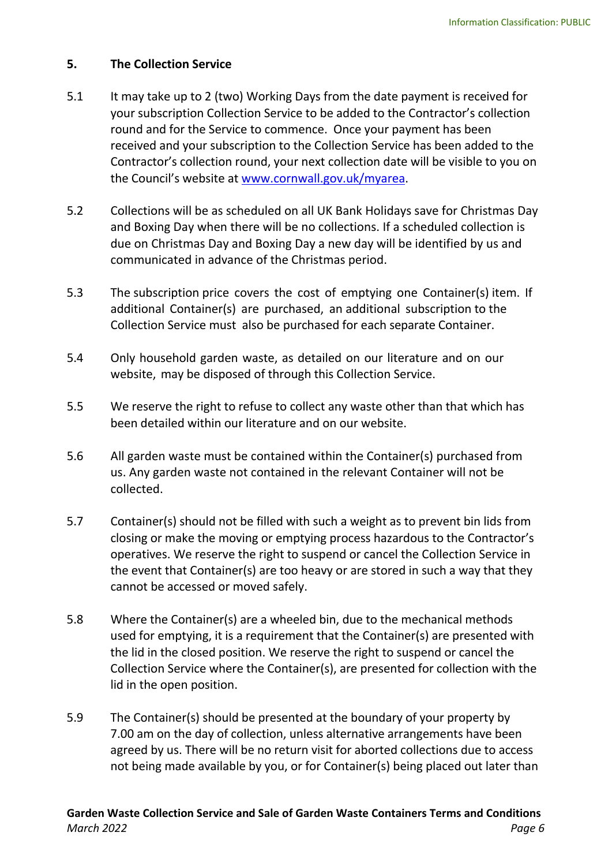#### **5. The Collection Service**

- 5.1 It may take up to 2 (two) Working Days from the date payment is received for your subscription Collection Service to be added to the Contractor's collection round and for the Service to commence. Once your payment has been received and your subscription to the Collection Service has been added to the Contractor's collection round, your next collection date will be visible to you on the Council's website at [www.cornwall.gov.uk/myarea.](http://www.cornwall.gov.uk/myarea)
- 5.2 Collections will be as scheduled on all UK Bank Holidays save for Christmas Day and Boxing Day when there will be no collections. If a scheduled collection is due on Christmas Day and Boxing Day a new day will be identified by us and communicated in advance of the Christmas period.
- 5.3 The subscription price covers the cost of emptying one Container(s) item. If additional Container(s) are purchased, an additional subscription to the Collection Service must also be purchased for each separate Container.
- 5.4 Only household garden waste, as detailed on our literature and on our website, may be disposed of through this Collection Service.
- 5.5 We reserve the right to refuse to collect any waste other than that which has been detailed within our literature and on our website.
- 5.6 All garden waste must be contained within the Container(s) purchased from us. Any garden waste not contained in the relevant Container will not be collected.
- 5.7 Container(s) should not be filled with such a weight as to prevent bin lids from closing or make the moving or emptying process hazardous to the Contractor's operatives. We reserve the right to suspend or cancel the Collection Service in the event that Container(s) are too heavy or are stored in such a way that they cannot be accessed or moved safely.
- 5.8 Where the Container(s) are a wheeled bin, due to the mechanical methods used for emptying, it is a requirement that the Container(s) are presented with the lid in the closed position. We reserve the right to suspend or cancel the Collection Service where the Container(s), are presented for collection with the lid in the open position.
- 5.9 The Container(s) should be presented at the boundary of your property by 7.00 am on the day of collection, unless alternative arrangements have been agreed by us. There will be no return visit for aborted collections due to access not being made available by you, or for Container(s) being placed out later than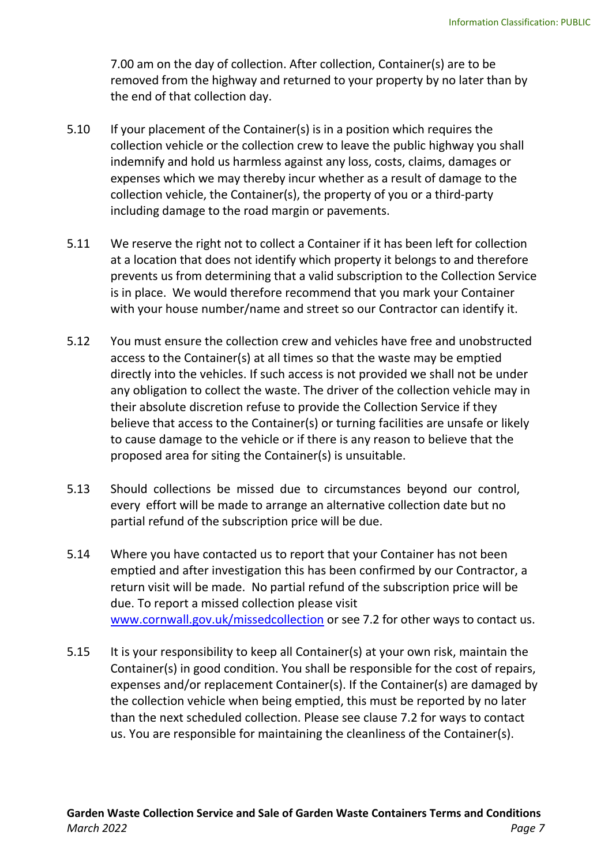7.00 am on the day of collection. After collection, Container(s) are to be removed from the highway and returned to your property by no later than by the end of that collection day.

- 5.10 If your placement of the Container(s) is in a position which requires the collection vehicle or the collection crew to leave the public highway you shall indemnify and hold us harmless against any loss, costs, claims, damages or expenses which we may thereby incur whether as a result of damage to the collection vehicle, the Container(s), the property of you or a third-party including damage to the road margin or pavements.
- 5.11 We reserve the right not to collect a Container if it has been left for collection at a location that does not identify which property it belongs to and therefore prevents us from determining that a valid subscription to the Collection Service is in place. We would therefore recommend that you mark your Container with your house number/name and street so our Contractor can identify it.
- 5.12 You must ensure the collection crew and vehicles have free and unobstructed access to the Container(s) at all times so that the waste may be emptied directly into the vehicles. If such access is not provided we shall not be under any obligation to collect the waste. The driver of the collection vehicle may in their absolute discretion refuse to provide the Collection Service if they believe that access to the Container(s) or turning facilities are unsafe or likely to cause damage to the vehicle or if there is any reason to believe that the proposed area for siting the Container(s) is unsuitable.
- 5.13 Should collections be missed due to circumstances beyond our control, every effort will be made to arrange an alternative collection date but no partial refund of the subscription price will be due.
- 5.14 Where you have contacted us to report that your Container has not been emptied and after investigation this has been confirmed by our Contractor, a return visit will be made. No partial refund of the subscription price will be due. To report a missed collection please visit [www.cornwall.gov.uk/missedcollection](http://www.cornwall.gov.uk/missedcollection) or see 7.2 for other ways to contact us.
- 5.15 It is your responsibility to keep all Container(s) at your own risk, maintain the Container(s) in good condition. You shall be responsible for the cost of repairs, expenses and/or replacement Container(s). If the Container(s) are damaged by the collection vehicle when being emptied, this must be reported by no later than the next scheduled collection. Please see clause 7.2 for ways to contact us. You are responsible for maintaining the cleanliness of the Container(s).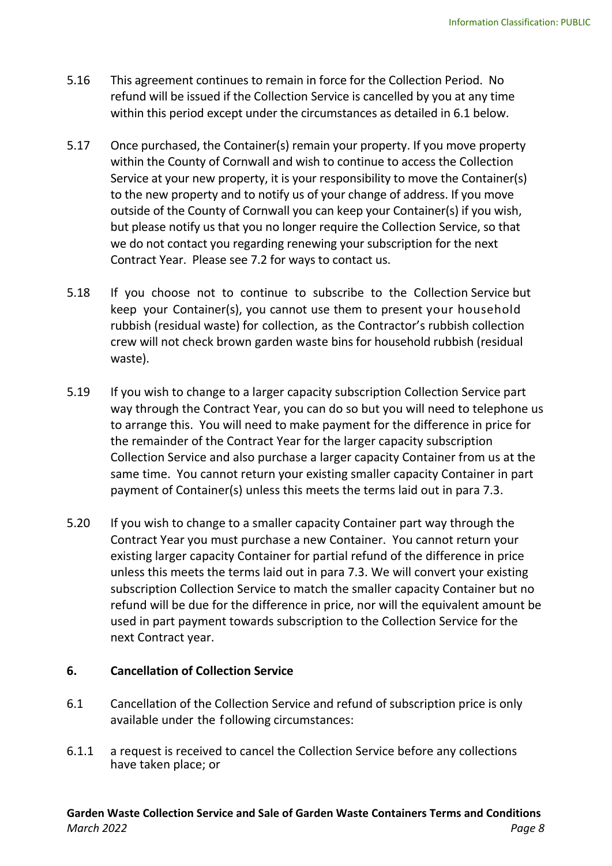- 5.16 This agreement continues to remain in force for the Collection Period. No refund will be issued if the Collection Service is cancelled by you at any time within this period except under the circumstances as detailed in 6.1 below.
- 5.17 Once purchased, the Container(s) remain your property. If you move property within the County of Cornwall and wish to continue to access the Collection Service at your new property, it is your responsibility to move the Container(s) to the new property and to notify us of your change of address. If you move outside of the County of Cornwall you can keep your Container(s) if you wish, but please notify us that you no longer require the Collection Service, so that we do not contact you regarding renewing your subscription for the next Contract Year. Please see 7.2 for ways to contact us.
- 5.18 If you choose not to continue to subscribe to the Collection Service but keep your Container(s), you cannot use them to present your household rubbish (residual waste) for collection, as the Contractor's rubbish collection crew will not check brown garden waste bins for household rubbish (residual waste).
- 5.19 If you wish to change to a larger capacity subscription Collection Service part way through the Contract Year, you can do so but you will need to telephone us to arrange this. You will need to make payment for the difference in price for the remainder of the Contract Year for the larger capacity subscription Collection Service and also purchase a larger capacity Container from us at the same time. You cannot return your existing smaller capacity Container in part payment of Container(s) unless this meets the terms laid out in para 7.3.
- 5.20 If you wish to change to a smaller capacity Container part way through the Contract Year you must purchase a new Container. You cannot return your existing larger capacity Container for partial refund of the difference in price unless this meets the terms laid out in para 7.3. We will convert your existing subscription Collection Service to match the smaller capacity Container but no refund will be due for the difference in price, nor will the equivalent amount be used in part payment towards subscription to the Collection Service for the next Contract year.

# **6. Cancellation of Collection Service**

- 6.1 Cancellation of the Collection Service and refund of subscription price is only available under the following circumstances:
- 6.1.1 a request is received to cancel the Collection Service before any collections have taken place; or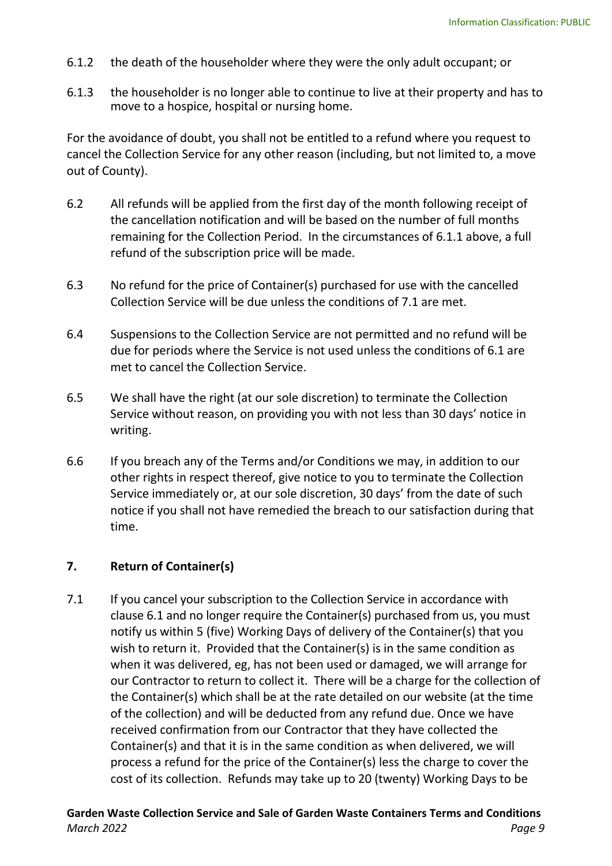- 6.1.2 the death of the householder where they were the only adult occupant; or
- 6.1.3 the householder is no longer able to continue to live at their property and has to move to a hospice, hospital or nursing home.

For the avoidance of doubt, you shall not be entitled to a refund where you request to cancel the Collection Service for any other reason (including, but not limited to, a move out of County).

- 6.2 All refunds will be applied from the first day of the month following receipt of the cancellation notification and will be based on the number of full months remaining for the Collection Period. In the circumstances of 6.1.1 above, a full refund of the subscription price will be made.
- 6.3 No refund for the price of Container(s) purchased for use with the cancelled Collection Service will be due unless the conditions of 7.1 are met.
- 6.4 Suspensions to the Collection Service are not permitted and no refund will be due for periods where the Service is not used unless the conditions of 6.1 are met to cancel the Collection Service.
- 6.5 We shall have the right (at our sole discretion) to terminate the Collection Service without reason, on providing you with not less than 30 days' notice in writing.
- 6.6 If you breach any of the Terms and/or Conditions we may, in addition to our other rights in respect thereof, give notice to you to terminate the Collection Service immediately or, at our sole discretion, 30 days' from the date of such notice if you shall not have remedied the breach to our satisfaction during that time.

#### **7. Return of Container(s)**

7.1 If you cancel your subscription to the Collection Service in accordance with clause 6.1 and no longer require the Container(s) purchased from us, you must notify us within 5 (five) Working Days of delivery of the Container(s) that you wish to return it. Provided that the Container(s) is in the same condition as when it was delivered, eg, has not been used or damaged, we will arrange for our Contractor to return to collect it. There will be a charge for the collection of the Container(s) which shall be at the rate detailed on our website (at the time of the collection) and will be deducted from any refund due. Once we have received confirmation from our Contractor that they have collected the Container(s) and that it is in the same condition as when delivered, we will process a refund for the price of the Container(s) less the charge to cover the cost of its collection. Refunds may take up to 20 (twenty) Working Days to be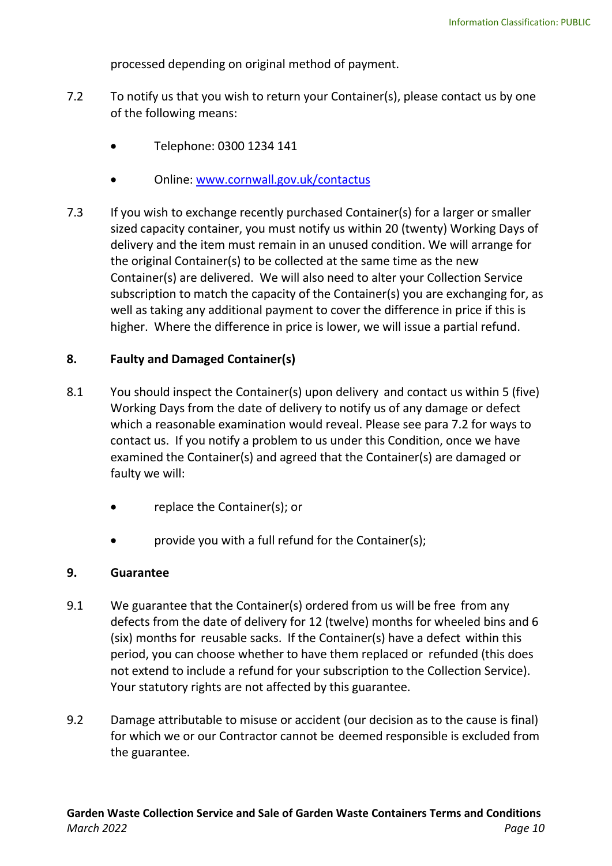processed depending on original method of payment.

- 7.2 To notify us that you wish to return your Container(s), please contact us by one of the following means:
	- Telephone: 0300 1234 141
	- Online: [www.cornwall.gov.uk/contactus](http://www.cornwall.gov.uk/contactus)
- 7.3 If you wish to exchange recently purchased Container(s) for a larger or smaller sized capacity container, you must notify us within 20 (twenty) Working Days of delivery and the item must remain in an unused condition. We will arrange for the original Container(s) to be collected at the same time as the new Container(s) are delivered. We will also need to alter your Collection Service subscription to match the capacity of the Container(s) you are exchanging for, as well as taking any additional payment to cover the difference in price if this is higher. Where the difference in price is lower, we will issue a partial refund.

## **8. Faulty and Damaged Container(s)**

- 8.1 You should inspect the Container(s) upon delivery and contact us within 5 (five) Working Days from the date of delivery to notify us of any damage or defect which a reasonable examination would reveal. Please see para 7.2 for ways to contact us. If you notify a problem to us under this Condition, once we have examined the Container(s) and agreed that the Container(s) are damaged or faulty we will:
	- replace the Container(s); or
	- provide you with a full refund for the Container(s);

#### **9. Guarantee**

- 9.1 We guarantee that the Container(s) ordered from us will be free from any defects from the date of delivery for 12 (twelve) months for wheeled bins and 6 (six) months for reusable sacks. If the Container(s) have a defect within this period, you can choose whether to have them replaced or refunded (this does not extend to include a refund for your subscription to the Collection Service). Your statutory rights are not affected by this guarantee.
- 9.2 Damage attributable to misuse or accident (our decision as to the cause is final) for which we or our Contractor cannot be deemed responsible is excluded from the guarantee.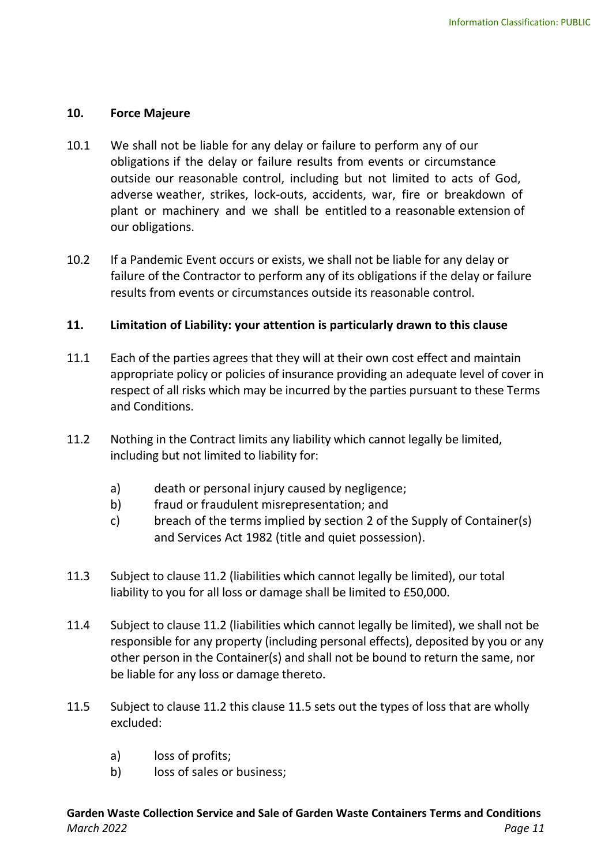#### **10. Force Majeure**

- 10.1 We shall not be liable for any delay or failure to perform any of our obligations if the delay or failure results from events or circumstance outside our reasonable control, including but not limited to acts of God, adverse weather, strikes, lock-outs, accidents, war, fire or breakdown of plant or machinery and we shall be entitled to a reasonable extension of our obligations.
- 10.2 If a Pandemic Event occurs or exists, we shall not be liable for any delay or failure of the Contractor to perform any of its obligations if the delay or failure results from events or circumstances outside its reasonable control.

## **11. Limitation of Liability: your attention is particularly drawn to this clause**

- 11.1 Each of the parties agrees that they will at their own cost effect and maintain appropriate policy or policies of insurance providing an adequate level of cover in respect of all risks which may be incurred by the parties pursuant to these Terms and Conditions.
- 11.2 Nothing in the Contract limits any liability which cannot legally be limited, including but not limited to liability for:
	- a) death or personal injury caused by negligence;
	- b) fraud or fraudulent misrepresentation; and
	- c) breach of the terms implied by section 2 of the Supply of Container(s) and Services Act 1982 (title and quiet possession).
- 11.3 Subject to clause 11.2 (liabilities which cannot legally be limited), our total liability to you for all loss or damage shall be limited to £50,000.
- 11.4 Subject to clause 11.2 (liabilities which cannot legally be limited), we shall not be responsible for any property (including personal effects), deposited by you or any other person in the Container(s) and shall not be bound to return the same, nor be liable for any loss or damage thereto.
- 11.5 Subject to clause 11.2 this clause 11.5 sets out the types of loss that are wholly excluded:
	- a) loss of profits;
	- b) loss of sales or business;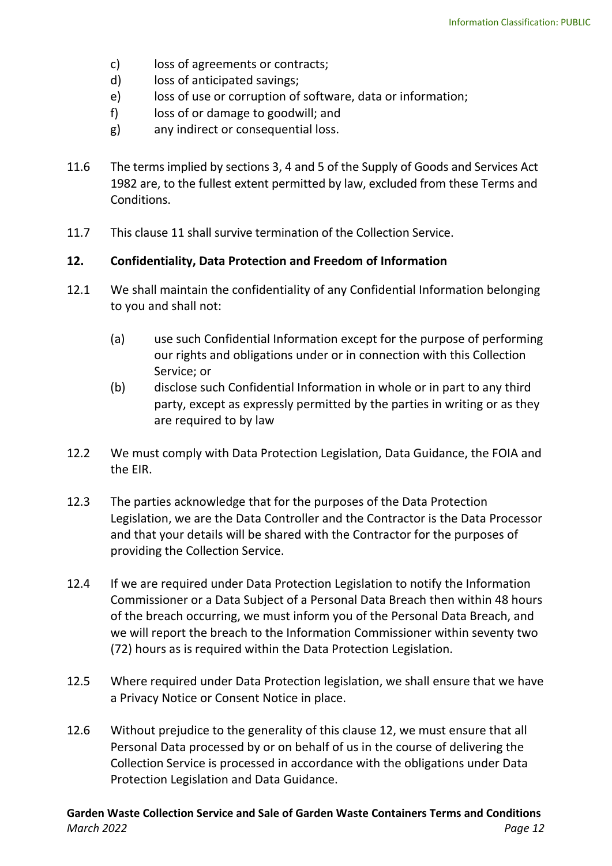- c) loss of agreements or contracts;
- d) loss of anticipated savings;
- e) loss of use or corruption of software, data or information;
- f) loss of or damage to goodwill; and
- g) any indirect or consequential loss.
- 11.6 The terms implied by sections 3, 4 and 5 of the Supply of Goods and Services Act 1982 are, to the fullest extent permitted by law, excluded from these Terms and Conditions.
- 11.7 This clause 11 shall survive termination of the Collection Service.

#### **12. Confidentiality, Data Protection and Freedom of Information**

- 12.1 We shall maintain the confidentiality of any Confidential Information belonging to you and shall not:
	- (a) use such Confidential Information except for the purpose of performing our rights and obligations under or in connection with this Collection Service; or
	- (b) disclose such Confidential Information in whole or in part to any third party, except as expressly permitted by the parties in writing or as they are required to by law
- 12.2 We must comply with Data Protection Legislation, Data Guidance, the FOIA and the EIR.
- 12.3 The parties acknowledge that for the purposes of the Data Protection Legislation, we are the Data Controller and the Contractor is the Data Processor and that your details will be shared with the Contractor for the purposes of providing the Collection Service.
- 12.4 If we are required under Data Protection Legislation to notify the Information Commissioner or a Data Subject of a Personal Data Breach then within 48 hours of the breach occurring, we must inform you of the Personal Data Breach, and we will report the breach to the Information Commissioner within seventy two (72) hours as is required within the Data Protection Legislation.
- 12.5 Where required under Data Protection legislation, we shall ensure that we have a Privacy Notice or Consent Notice in place.
- 12.6 Without prejudice to the generality of this clause 12, we must ensure that all Personal Data processed by or on behalf of us in the course of delivering the Collection Service is processed in accordance with the obligations under Data Protection Legislation and Data Guidance.